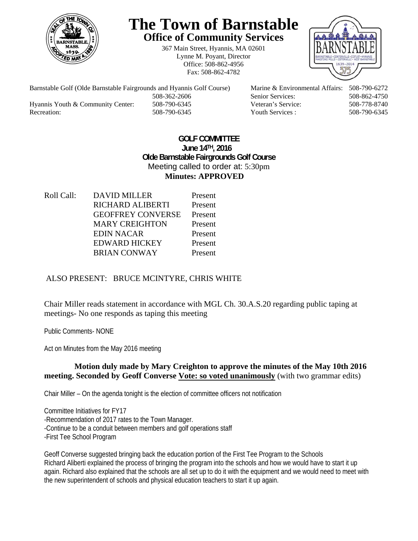

# **The Town of Barnstable Office of Community Services**

367 Main Street, Hyannis, MA 02601 Lynne M. Poyant, Director Office: 508-862-4956 Fax: 508-862-4782



Hyannis Youth & Community Center: 508-790-6345 Veteran's Service: 508-778-8740 Recreation: 508-790-6345 Youth Services : 508-790-6345 S08-790-6345

Barnstable Golf (Olde Barnstable Fairgrounds and Hyannis Golf Course) Marine & Environmental Affairs: 508-790-6272 508-362-2606 Senior Services: 508-862-4750

#### **GOLF COMMITTEE June 14TH, 2016 Olde Barnstable Fairgrounds Golf Course**  Meeting called to order at: 5:30pm **Minutes: APPROVED**

Roll Call: DAVID MILLER Present RICHARD ALIBERTI Present GEOFFREY CONVERSE Present MARY CREIGHTON Present EDIN NACAR Present EDWARD HICKEY Present BRIAN CONWAY Present

# ALSO PRESENT: BRUCE MCINTYRE, CHRIS WHITE

Chair Miller reads statement in accordance with MGL Ch. 30.A.S.20 regarding public taping at meetings- No one responds as taping this meeting

Public Comments- NONE

Act on Minutes from the May 2016 meeting

### **Motion duly made by Mary Creighton to approve the minutes of the May 10th 2016 meeting. Seconded by Geoff Converse Vote: so voted unanimously** (with two grammar edits)

Chair Miller – On the agenda tonight is the election of committee officers not notification

Committee Initiatives for FY17 -Recommendation of 2017 rates to the Town Manager. -Continue to be a conduit between members and golf operations staff -First Tee School Program

Geoff Converse suggested bringing back the education portion of the First Tee Program to the Schools Richard Aliberti explained the process of bringing the program into the schools and how we would have to start it up again. Richard also explained that the schools are all set up to do it with the equipment and we would need to meet with the new superintendent of schools and physical education teachers to start it up again.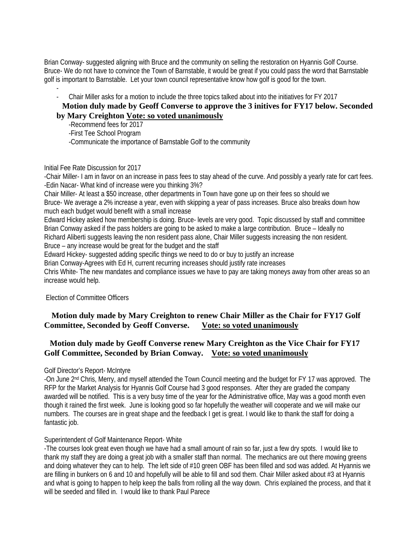Brian Conway- suggested aligning with Bruce and the community on selling the restoration on Hyannis Golf Course. Bruce- We do not have to convince the Town of Barnstable, it would be great if you could pass the word that Barnstable golf is important to Barnstable. Let your town council representative know how golf is good for the town.

- - Chair Miller asks for a motion to include the three topics talked about into the initiatives for FY 2017

#### **Motion duly made by Geoff Converse to approve the 3 initives for FY17 below. Seconded by Mary Creighton Vote: so voted unanimously**

 -Recommend fees for 2017 -First Tee School Program -Communicate the importance of Barnstable Golf to the community

Initial Fee Rate Discussion for 2017

-Chair Miller- I am in favor on an increase in pass fees to stay ahead of the curve. And possibly a yearly rate for cart fees. -Edin Nacar- What kind of increase were you thinking 3%?

Chair Miller- At least a \$50 increase, other departments in Town have gone up on their fees so should we Bruce- We average a 2% increase a year, even with skipping a year of pass increases. Bruce also breaks down how much each budget would benefit with a small increase

Edward Hickey asked how membership is doing. Bruce- levels are very good. Topic discussed by staff and committee Brian Conway asked if the pass holders are going to be asked to make a large contribution. Bruce – Ideally no Richard Aliberti suggests leaving the non resident pass alone, Chair Miller suggests increasing the non resident.

Bruce – any increase would be great for the budget and the staff

Edward Hickey- suggested adding specific things we need to do or buy to justify an increase

Brian Conway-Agrees with Ed H, current recurring increases should justify rate increases

Chris White- The new mandates and compliance issues we have to pay are taking moneys away from other areas so an increase would help.

Election of Committee Officers

### **Motion duly made by Mary Creighton to renew Chair Miller as the Chair for FY17 Golf Committee, Seconded by Geoff Converse. Vote: so voted unanimously**

### **Motion duly made by Geoff Converse renew Mary Creighton as the Vice Chair for FY17 Golf Committee, Seconded by Brian Conway. Vote: so voted unanimously**

Golf Director's Report- McIntyre

-On June 2nd Chris, Merry, and myself attended the Town Council meeting and the budget for FY 17 was approved. The RFP for the Market Analysis for Hyannis Golf Course had 3 good responses. After they are graded the company awarded will be notified. This is a very busy time of the year for the Administrative office, May was a good month even though it rained the first week. June is looking good so far hopefully the weather will cooperate and we will make our numbers. The courses are in great shape and the feedback I get is great. I would like to thank the staff for doing a fantastic job.

#### Superintendent of Golf Maintenance Report- White

-The courses look great even though we have had a small amount of rain so far, just a few dry spots. I would like to thank my staff they are doing a great job with a smaller staff than normal. The mechanics are out there mowing greens and doing whatever they can to help. The left side of #10 green OBF has been filled and sod was added. At Hyannis we are filling in bunkers on 6 and 10 and hopefully will be able to fill and sod them. Chair Miller asked about #3 at Hyannis and what is going to happen to help keep the balls from rolling all the way down. Chris explained the process, and that it will be seeded and filled in. I would like to thank Paul Parece